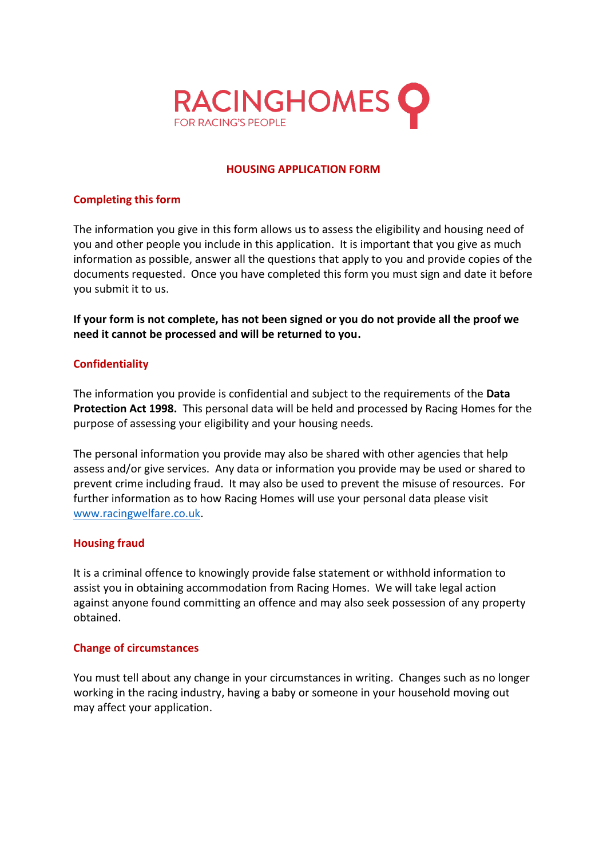

# **HOUSING APPLICATION FORM**

## **Completing this form**

The information you give in this form allows us to assess the eligibility and housing need of you and other people you include in this application. It is important that you give as much information as possible, answer all the questions that apply to you and provide copies of the documents requested. Once you have completed this form you must sign and date it before you submit it to us.

**If your form is not complete, has not been signed or you do not provide all the proof we need it cannot be processed and will be returned to you.** 

# **Confidentiality**

The information you provide is confidential and subject to the requirements of the **Data Protection Act 1998.** This personal data will be held and processed by Racing Homes for the purpose of assessing your eligibility and your housing needs.

The personal information you provide may also be shared with other agencies that help assess and/or give services. Any data or information you provide may be used or shared to prevent crime including fraud. It may also be used to prevent the misuse of resources. For further information as to how Racing Homes will use your personal data please visit [www.racingwelfare.co.uk.](http://www.racingwelfare.co.uk/)

### **Housing fraud**

It is a criminal offence to knowingly provide false statement or withhold information to assist you in obtaining accommodation from Racing Homes. We will take legal action against anyone found committing an offence and may also seek possession of any property obtained.

# **Change of circumstances**

You must tell about any change in your circumstances in writing. Changes such as no longer working in the racing industry, having a baby or someone in your household moving out may affect your application.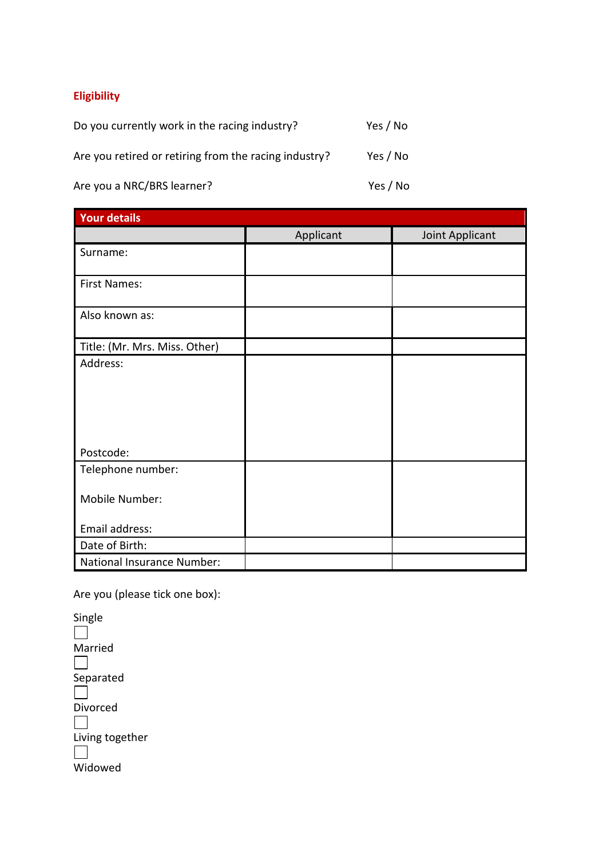# **Eligibility**

| Do you currently work in the racing industry?         | Yes / No |
|-------------------------------------------------------|----------|
| Are you retired or retiring from the racing industry? | Yes / No |

Are you a NRC/BRS learner? Yes / No

| <b>Your details</b>           |           |                 |
|-------------------------------|-----------|-----------------|
|                               | Applicant | Joint Applicant |
| Surname:                      |           |                 |
| <b>First Names:</b>           |           |                 |
| Also known as:                |           |                 |
| Title: (Mr. Mrs. Miss. Other) |           |                 |
| Address:                      |           |                 |
|                               |           |                 |
|                               |           |                 |
|                               |           |                 |
|                               |           |                 |
| Postcode:                     |           |                 |
| Telephone number:             |           |                 |
|                               |           |                 |
| Mobile Number:                |           |                 |
| Email address:                |           |                 |
| Date of Birth:                |           |                 |
| National Insurance Number:    |           |                 |

Are you (please tick one box):

Single  $\Box$ Married  $\Box$  $S$ eparated Divorced  $\Box$ Living together  $\perp$ **Widowed**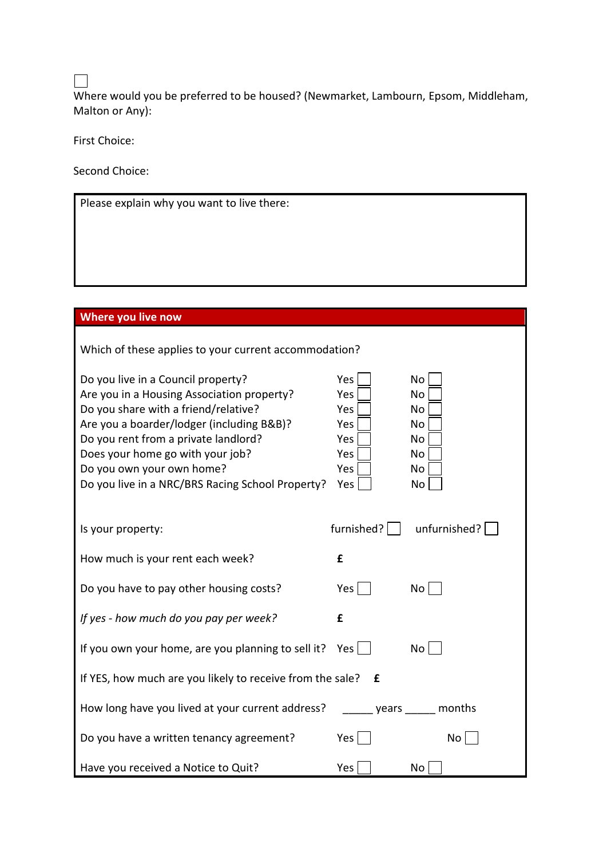$\Box$ 

Where would you be preferred to be housed? (Newmarket, Lambourn, Epsom, Middleham, Malton or Any):

First Choice:

Second Choice:

Please explain why you want to live there:

# **Where you live now**

Which of these applies to your current accommodation?

| Do you live in a Council property?<br>Are you in a Housing Association property?<br>Do you share with a friend/relative?<br>Are you a boarder/lodger (including B&B)?<br>Do you rent from a private landlord?<br>Does your home go with your job?<br>Do you own your own home?<br>Do you live in a NRC/BRS Racing School Property? | Yes<br>Yes<br>Yes<br>Yes<br>Yes<br>Yes<br>Yes<br>Yes | No<br>No<br>No<br>No<br>No<br>No<br>No<br>No |
|------------------------------------------------------------------------------------------------------------------------------------------------------------------------------------------------------------------------------------------------------------------------------------------------------------------------------------|------------------------------------------------------|----------------------------------------------|
| Is your property:                                                                                                                                                                                                                                                                                                                  | furnished? $ $                                       | unfurnished?                                 |
| How much is your rent each week?                                                                                                                                                                                                                                                                                                   | £                                                    |                                              |
| Do you have to pay other housing costs?                                                                                                                                                                                                                                                                                            | Yes                                                  | No                                           |
| If yes - how much do you pay per week?                                                                                                                                                                                                                                                                                             | £                                                    |                                              |
| If you own your home, are you planning to sell it?                                                                                                                                                                                                                                                                                 | Yes                                                  | No                                           |
| If YES, how much are you likely to receive from the sale? $E$                                                                                                                                                                                                                                                                      |                                                      |                                              |
| How long have you lived at your current address?                                                                                                                                                                                                                                                                                   |                                                      | years months                                 |
| Do you have a written tenancy agreement?                                                                                                                                                                                                                                                                                           | Yes                                                  | No                                           |
| Have you received a Notice to Quit?                                                                                                                                                                                                                                                                                                | Yes                                                  | No                                           |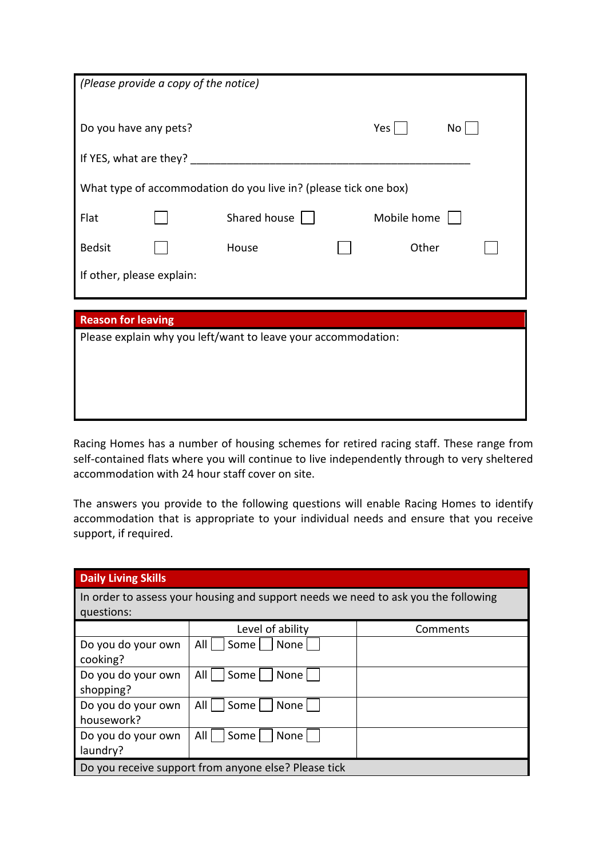|                           | (Please provide a copy of the notice) |                                                                  |  |             |    |
|---------------------------|---------------------------------------|------------------------------------------------------------------|--|-------------|----|
| Do you have any pets?     |                                       |                                                                  |  | Yes $\vert$ | No |
| If YES, what are they?    |                                       |                                                                  |  |             |    |
|                           |                                       | What type of accommodation do you live in? (please tick one box) |  |             |    |
| Flat                      |                                       | Shared house                                                     |  | Mobile home |    |
| <b>Bedsit</b>             |                                       | House                                                            |  | Other       |    |
| If other, please explain: |                                       |                                                                  |  |             |    |
|                           |                                       |                                                                  |  |             |    |
| <b>Reason for leaving</b> |                                       |                                                                  |  |             |    |
|                           |                                       | Please explain why you left/want to leave your accommodation:    |  |             |    |

Racing Homes has a number of housing schemes for retired racing staff. These range from self-contained flats where you will continue to live independently through to very sheltered accommodation with 24 hour staff cover on site.

The answers you provide to the following questions will enable Racing Homes to identify accommodation that is appropriate to your individual needs and ensure that you receive support, if required.

| <b>Daily Living Skills</b>                           |                                                                                    |          |
|------------------------------------------------------|------------------------------------------------------------------------------------|----------|
| questions:                                           | In order to assess your housing and support needs we need to ask you the following |          |
|                                                      | Level of ability                                                                   | Comments |
| Do you do your own<br>cooking?                       | All<br>  None<br>Some                                                              |          |
| Do you do your own<br>shopping?                      | Some<br>All<br>None                                                                |          |
| Do you do your own<br>housework?                     | All<br>None<br>Some                                                                |          |
| Do you do your own<br>laundry?                       | Some<br>None<br>All                                                                |          |
| Do you receive support from anyone else? Please tick |                                                                                    |          |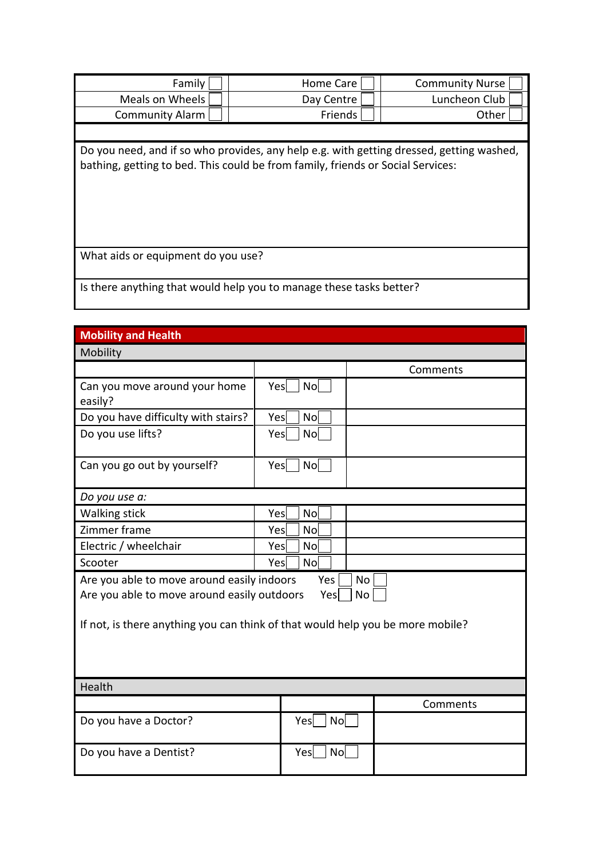| Family                                                              | Home Care                                                                                                                                                                   | <b>Community Nurse</b> |
|---------------------------------------------------------------------|-----------------------------------------------------------------------------------------------------------------------------------------------------------------------------|------------------------|
| Meals on Wheels                                                     | Day Centre                                                                                                                                                                  | Luncheon Club          |
| <b>Community Alarm</b>                                              | Friends                                                                                                                                                                     | Other                  |
|                                                                     |                                                                                                                                                                             |                        |
|                                                                     | Do you need, and if so who provides, any help e.g. with getting dressed, getting washed,<br>bathing, getting to bed. This could be from family, friends or Social Services: |                        |
| What aids or equipment do you use?                                  |                                                                                                                                                                             |                        |
| Is there anything that would help you to manage these tasks better? |                                                                                                                                                                             |                        |

| <b>Mobility and Health</b>                                                                                                                                                                            |     |                |           |          |
|-------------------------------------------------------------------------------------------------------------------------------------------------------------------------------------------------------|-----|----------------|-----------|----------|
| Mobility                                                                                                                                                                                              |     |                |           |          |
|                                                                                                                                                                                                       |     |                |           | Comments |
| Can you move around your home<br>easily?                                                                                                                                                              | Yes | N <sub>o</sub> |           |          |
| Do you have difficulty with stairs?                                                                                                                                                                   | Yes | No             |           |          |
| Do you use lifts?                                                                                                                                                                                     | Yes | N <sub>o</sub> |           |          |
| Can you go out by yourself?                                                                                                                                                                           | Yes | No             |           |          |
| Do you use a:                                                                                                                                                                                         |     |                |           |          |
| <b>Walking stick</b>                                                                                                                                                                                  | Yes | N <sub>O</sub> |           |          |
| Zimmer frame                                                                                                                                                                                          | Yes | No             |           |          |
| Electric / wheelchair                                                                                                                                                                                 | Yes | <b>No</b>      |           |          |
| Scooter                                                                                                                                                                                               | Yes | No             |           |          |
| Are you able to move around easily indoors<br>Yes<br>No<br>Are you able to move around easily outdoors<br>No<br>Yes<br>If not, is there anything you can think of that would help you be more mobile? |     |                |           |          |
| Health                                                                                                                                                                                                |     |                |           |          |
|                                                                                                                                                                                                       |     |                |           | Comments |
| Do you have a Doctor?                                                                                                                                                                                 |     | Yes            | No        |          |
| Do you have a Dentist?                                                                                                                                                                                |     | Yes            | <b>No</b> |          |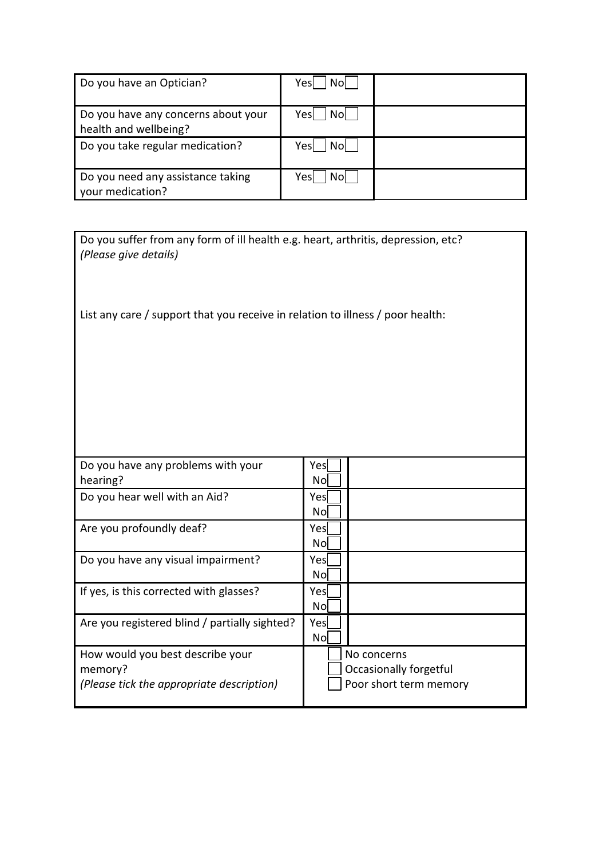| Do you have an Optician?                                     | Yesl<br>Nol |  |
|--------------------------------------------------------------|-------------|--|
| Do you have any concerns about your<br>health and wellbeing? | Yesl<br>Nol |  |
| Do you take regular medication?                              | Yesl<br>Nol |  |
| Do you need any assistance taking<br>vour medication?        | Yes<br>Nol  |  |

| Do you suffer from any form of ill health e.g. heart, arthritis, depression, etc?<br>(Please give details) |                                       |  |
|------------------------------------------------------------------------------------------------------------|---------------------------------------|--|
| List any care / support that you receive in relation to illness / poor health:                             |                                       |  |
|                                                                                                            |                                       |  |
|                                                                                                            |                                       |  |
|                                                                                                            |                                       |  |
| Do you have any problems with your<br>hearing?                                                             | Yes<br>No                             |  |
| Do you hear well with an Aid?                                                                              | Yesl<br>No                            |  |
| Are you profoundly deaf?                                                                                   | Yes<br><b>No</b>                      |  |
| Do you have any visual impairment?                                                                         | Yes<br>No                             |  |
| If yes, is this corrected with glasses?                                                                    | Yesl<br>No                            |  |
| Are you registered blind / partially sighted?                                                              | Yes<br><b>No</b>                      |  |
| How would you best describe your<br>memory?                                                                | No concerns<br>Occasionally forgetful |  |
| (Please tick the appropriate description)                                                                  | Poor short term memory                |  |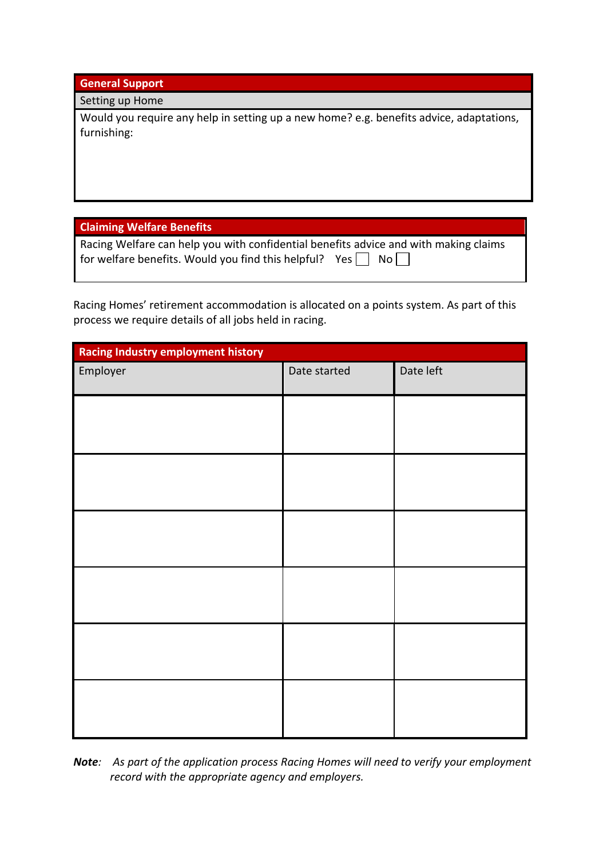**General Support**

## Setting up Home

Would you require any help in setting up a new home? e.g. benefits advice, adaptations, furnishing:

**Claiming Welfare Benefits**

| Racing Welfare can help you with confidential benefits advice and with making claims |  |
|--------------------------------------------------------------------------------------|--|
| for welfare benefits. Would you find this helpful? Yes $\Box$ No $\Box$              |  |

Racing Homes' retirement accommodation is allocated on a points system. As part of this process we require details of all jobs held in racing.

| <b>Racing Industry employment history</b> |              |           |
|-------------------------------------------|--------------|-----------|
| Employer                                  | Date started | Date left |
|                                           |              |           |
|                                           |              |           |
|                                           |              |           |
|                                           |              |           |
|                                           |              |           |
|                                           |              |           |
|                                           |              |           |
|                                           |              |           |
|                                           |              |           |
|                                           |              |           |
|                                           |              |           |
|                                           |              |           |
|                                           |              |           |

*Note: As part of the application process Racing Homes will need to verify your employment record with the appropriate agency and employers.*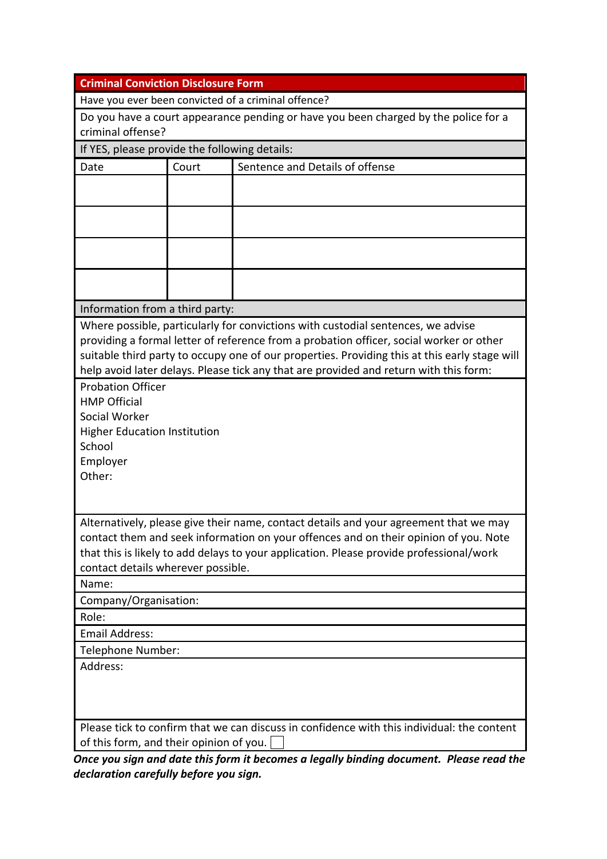| <b>Criminal Conviction Disclosure Form</b>                                                                                                                                                                                                                                                                     |                                                                                     |                                                                                                                                                                                                                                                                                                                                                                       |  |  |
|----------------------------------------------------------------------------------------------------------------------------------------------------------------------------------------------------------------------------------------------------------------------------------------------------------------|-------------------------------------------------------------------------------------|-----------------------------------------------------------------------------------------------------------------------------------------------------------------------------------------------------------------------------------------------------------------------------------------------------------------------------------------------------------------------|--|--|
|                                                                                                                                                                                                                                                                                                                |                                                                                     | Have you ever been convicted of a criminal offence?                                                                                                                                                                                                                                                                                                                   |  |  |
| criminal offense?                                                                                                                                                                                                                                                                                              | Do you have a court appearance pending or have you been charged by the police for a |                                                                                                                                                                                                                                                                                                                                                                       |  |  |
| If YES, please provide the following details:                                                                                                                                                                                                                                                                  |                                                                                     |                                                                                                                                                                                                                                                                                                                                                                       |  |  |
| Date                                                                                                                                                                                                                                                                                                           | Court                                                                               | Sentence and Details of offense                                                                                                                                                                                                                                                                                                                                       |  |  |
|                                                                                                                                                                                                                                                                                                                |                                                                                     |                                                                                                                                                                                                                                                                                                                                                                       |  |  |
|                                                                                                                                                                                                                                                                                                                |                                                                                     |                                                                                                                                                                                                                                                                                                                                                                       |  |  |
|                                                                                                                                                                                                                                                                                                                |                                                                                     |                                                                                                                                                                                                                                                                                                                                                                       |  |  |
|                                                                                                                                                                                                                                                                                                                |                                                                                     |                                                                                                                                                                                                                                                                                                                                                                       |  |  |
| Information from a third party:                                                                                                                                                                                                                                                                                |                                                                                     |                                                                                                                                                                                                                                                                                                                                                                       |  |  |
|                                                                                                                                                                                                                                                                                                                |                                                                                     | Where possible, particularly for convictions with custodial sentences, we advise<br>providing a formal letter of reference from a probation officer, social worker or other<br>suitable third party to occupy one of our properties. Providing this at this early stage will<br>help avoid later delays. Please tick any that are provided and return with this form: |  |  |
| <b>Probation Officer</b><br><b>HMP Official</b><br>Social Worker<br><b>Higher Education Institution</b><br>School<br>Employer<br>Other:                                                                                                                                                                        |                                                                                     |                                                                                                                                                                                                                                                                                                                                                                       |  |  |
| Alternatively, please give their name, contact details and your agreement that we may<br>contact them and seek information on your offences and on their opinion of you. Note<br>that this is likely to add delays to your application. Please provide professional/work<br>contact details wherever possible. |                                                                                     |                                                                                                                                                                                                                                                                                                                                                                       |  |  |
| Name:                                                                                                                                                                                                                                                                                                          |                                                                                     |                                                                                                                                                                                                                                                                                                                                                                       |  |  |
| Company/Organisation:                                                                                                                                                                                                                                                                                          |                                                                                     |                                                                                                                                                                                                                                                                                                                                                                       |  |  |
| Role:                                                                                                                                                                                                                                                                                                          |                                                                                     |                                                                                                                                                                                                                                                                                                                                                                       |  |  |
| <b>Email Address:</b>                                                                                                                                                                                                                                                                                          |                                                                                     |                                                                                                                                                                                                                                                                                                                                                                       |  |  |
| Telephone Number:                                                                                                                                                                                                                                                                                              |                                                                                     |                                                                                                                                                                                                                                                                                                                                                                       |  |  |
| Address:                                                                                                                                                                                                                                                                                                       |                                                                                     |                                                                                                                                                                                                                                                                                                                                                                       |  |  |
| Please tick to confirm that we can discuss in confidence with this individual: the content<br>of this form, and their opinion of you.                                                                                                                                                                          |                                                                                     |                                                                                                                                                                                                                                                                                                                                                                       |  |  |

*Once you sign and date this form it becomes a legally binding document. Please read the declaration carefully before you sign.*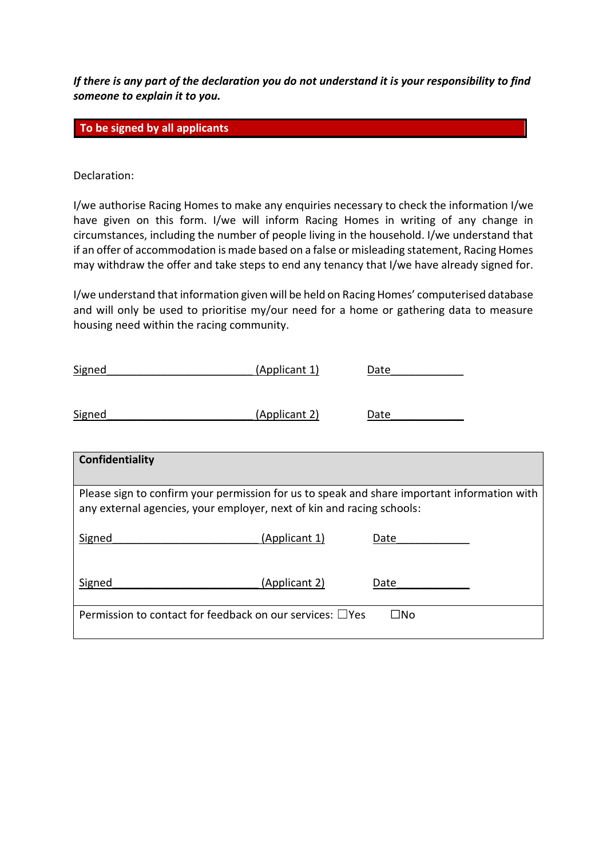*If there is any part of the declaration you do not understand it is your responsibility to find someone to explain it to you.* 

**To be signed by all applicants** 

Declaration:

I/we authorise Racing Homes to make any enquiries necessary to check the information I/we have given on this form. I/we will inform Racing Homes in writing of any change in circumstances, including the number of people living in the household. I/we understand that if an offer of accommodation is made based on a false or misleading statement, Racing Homes may withdraw the offer and take steps to end any tenancy that I/we have already signed for.

I/we understand that information given will be held on Racing Homes' computerised database and will only be used to prioritise my/our need for a home or gathering data to measure housing need within the racing community.

| Signed                                                                | (Applicant 1)        | Date                                                                                        |
|-----------------------------------------------------------------------|----------------------|---------------------------------------------------------------------------------------------|
| Signed                                                                | (Applicant 2)        | Date                                                                                        |
| Confidentiality                                                       |                      |                                                                                             |
| any external agencies, your employer, next of kin and racing schools: |                      | Please sign to confirm your permission for us to speak and share important information with |
| Signed                                                                | (Applicant 1)        | Date                                                                                        |
| Signed                                                                | <u>(Applicant 2)</u> | Date                                                                                        |
| Permission to contact for feedback on our services: $\Box$ Yes        |                      | $\Box$ No                                                                                   |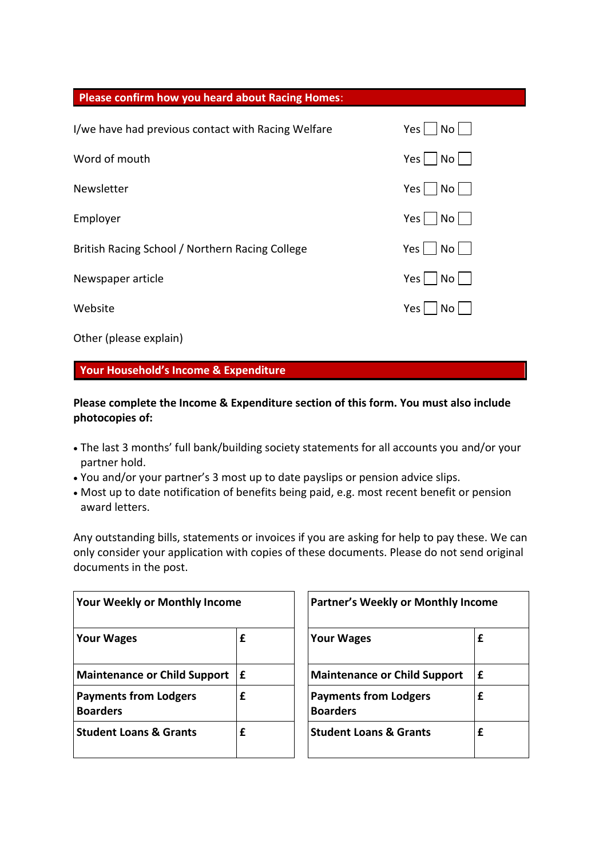| <b>Please confirm how you heard about Racing Homes:</b> |                                                |
|---------------------------------------------------------|------------------------------------------------|
| I/we have had previous contact with Racing Welfare      | Yes $\vert$<br>No                              |
| Word of mouth                                           | Yes $\vert$<br>$\overline{N}$ o $\overline{a}$ |
| Newsletter                                              | Yes $\vert$<br> No                             |
| Employer                                                | Yes $\vert$<br>Nol                             |
| British Racing School / Northern Racing College         | Yes $ $<br>$No$                                |
| Newspaper article                                       | Yes $\vert$<br>$\vert$ No $\vert$ $\vert$      |
| Website                                                 | Yes<br>Nol                                     |
| Other (please explain)                                  |                                                |

# **Your Household's Income & Expenditure**

# **Please complete the Income & Expenditure section of this form. You must also include photocopies of:**

- The last 3 months' full bank/building society statements for all accounts you and/or your partner hold.
- You and/or your partner's 3 most up to date payslips or pension advice slips.
- Most up to date notification of benefits being paid, e.g. most recent benefit or pension award letters.

Any outstanding bills, statements or invoices if you are asking for help to pay these. We can only consider your application with copies of these documents. Please do not send original documents in the post.

| <b>Your Weekly or Monthly Income</b>            |    | <b>Partner's Weekly or Monthly Income</b>       |   |
|-------------------------------------------------|----|-------------------------------------------------|---|
| <b>Your Wages</b>                               | £  | <b>Your Wages</b>                               | £ |
| <b>Maintenance or Child Support</b>             | ١£ | <b>Maintenance or Child Support</b>             | £ |
| <b>Payments from Lodgers</b><br><b>Boarders</b> | £  | <b>Payments from Lodgers</b><br><b>Boarders</b> | £ |
| <b>Student Loans &amp; Grants</b>               | £  | <b>Student Loans &amp; Grants</b>               | £ |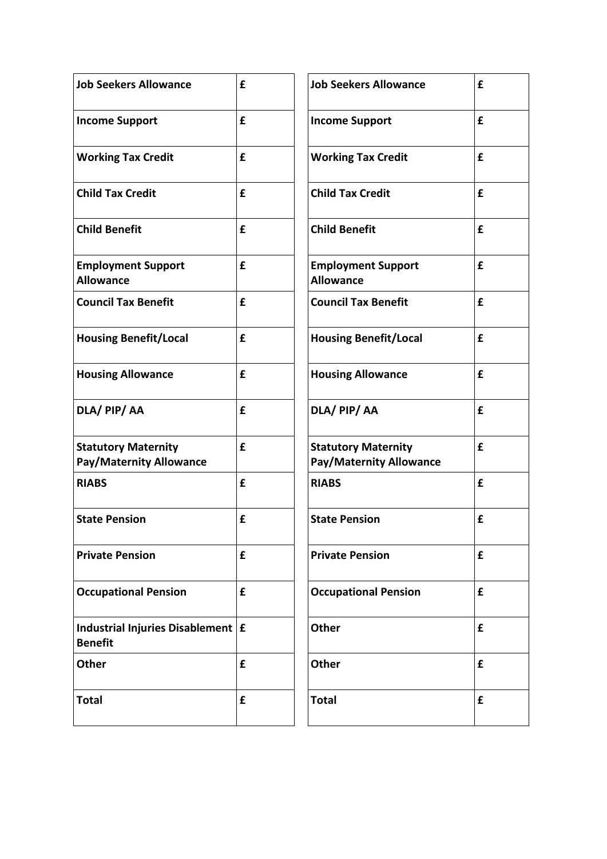| <b>Job Seekers Allowance</b>                                 | £ | <b>Job Seekers Allowance</b>                                 | £ |
|--------------------------------------------------------------|---|--------------------------------------------------------------|---|
| <b>Income Support</b>                                        | £ | <b>Income Support</b>                                        | £ |
| <b>Working Tax Credit</b>                                    | £ | <b>Working Tax Credit</b>                                    | £ |
| <b>Child Tax Credit</b>                                      | £ | <b>Child Tax Credit</b>                                      | £ |
| <b>Child Benefit</b>                                         | £ | <b>Child Benefit</b>                                         | £ |
| <b>Employment Support</b><br><b>Allowance</b>                | £ | <b>Employment Support</b><br><b>Allowance</b>                | £ |
| <b>Council Tax Benefit</b>                                   | £ | <b>Council Tax Benefit</b>                                   | £ |
| <b>Housing Benefit/Local</b>                                 | £ | <b>Housing Benefit/Local</b>                                 | £ |
| <b>Housing Allowance</b>                                     | £ | <b>Housing Allowance</b>                                     | £ |
| DLA/ PIP/ AA                                                 | £ | DLA/ PIP/AA                                                  | £ |
| <b>Statutory Maternity</b><br><b>Pay/Maternity Allowance</b> | £ | <b>Statutory Maternity</b><br><b>Pay/Maternity Allowance</b> | £ |
| <b>RIABS</b>                                                 | £ | <b>RIABS</b>                                                 | £ |
| <b>State Pension</b>                                         | £ | <b>State Pension</b>                                         | £ |
| <b>Private Pension</b>                                       | £ | <b>Private Pension</b>                                       | £ |
| <b>Occupational Pension</b>                                  | £ | <b>Occupational Pension</b>                                  | £ |
| <b>Industrial Injuries Disablement</b><br><b>Benefit</b>     | £ | <b>Other</b>                                                 | £ |
| <b>Other</b>                                                 | £ | <b>Other</b>                                                 | £ |
| <b>Total</b>                                                 | £ | <b>Total</b>                                                 | £ |

| £ | <b>Job Seekers Allowance</b>                                 | £ |
|---|--------------------------------------------------------------|---|
| £ | <b>Income Support</b>                                        | £ |
| £ | <b>Working Tax Credit</b>                                    | £ |
| £ | <b>Child Tax Credit</b>                                      | £ |
| £ | <b>Child Benefit</b>                                         | £ |
| £ | <b>Employment Support</b><br><b>Allowance</b>                | £ |
| £ | <b>Council Tax Benefit</b>                                   | £ |
| £ | <b>Housing Benefit/Local</b>                                 | £ |
| £ | <b>Housing Allowance</b>                                     | £ |
| £ | DLA/ PIP/AA                                                  | £ |
| £ | <b>Statutory Maternity</b><br><b>Pay/Maternity Allowance</b> | £ |
| £ | <b>RIABS</b>                                                 | £ |
| £ | <b>State Pension</b>                                         | £ |
| £ | <b>Private Pension</b>                                       | £ |
| £ | <b>Occupational Pension</b>                                  | £ |
| £ | <b>Other</b>                                                 | £ |
| £ | <b>Other</b>                                                 | £ |
| £ | <b>Total</b>                                                 | £ |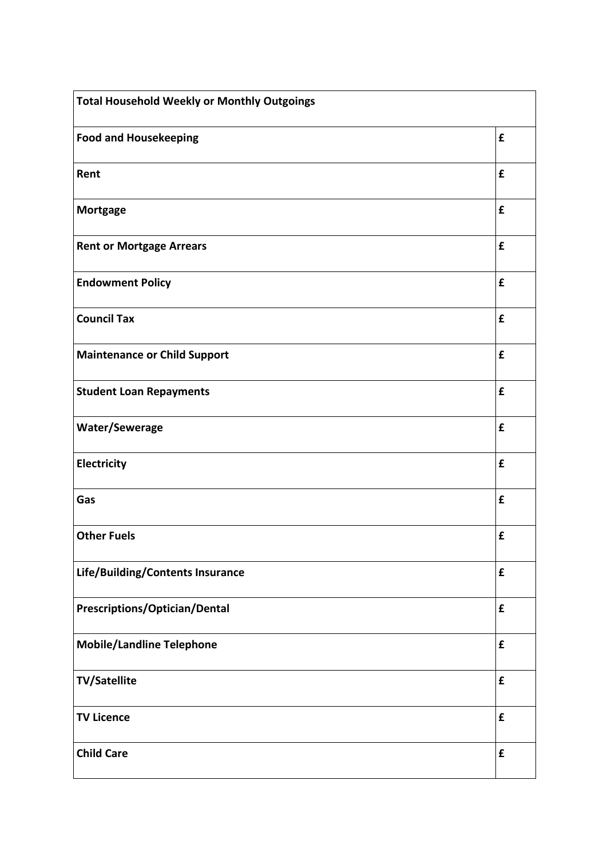| <b>Total Household Weekly or Monthly Outgoings</b> |                    |
|----------------------------------------------------|--------------------|
| <b>Food and Housekeeping</b>                       | £                  |
| Rent                                               | £                  |
| <b>Mortgage</b>                                    | £                  |
| <b>Rent or Mortgage Arrears</b>                    | £                  |
| <b>Endowment Policy</b>                            | £                  |
| <b>Council Tax</b>                                 | £                  |
| <b>Maintenance or Child Support</b>                | £                  |
| <b>Student Loan Repayments</b>                     | £                  |
| Water/Sewerage                                     | £                  |
| Electricity                                        | £                  |
| Gas                                                | £                  |
| <b>Other Fuels</b>                                 | £                  |
| Life/Building/Contents Insurance                   | $\pmb{\mathsf{f}}$ |
| Prescriptions/Optician/Dental                      | $\pmb{\mathsf{f}}$ |
| <b>Mobile/Landline Telephone</b>                   | £                  |
| <b>TV/Satellite</b>                                | $\mathbf f$        |
| <b>TV Licence</b>                                  | £                  |
| <b>Child Care</b>                                  | $\pmb{\mathsf{f}}$ |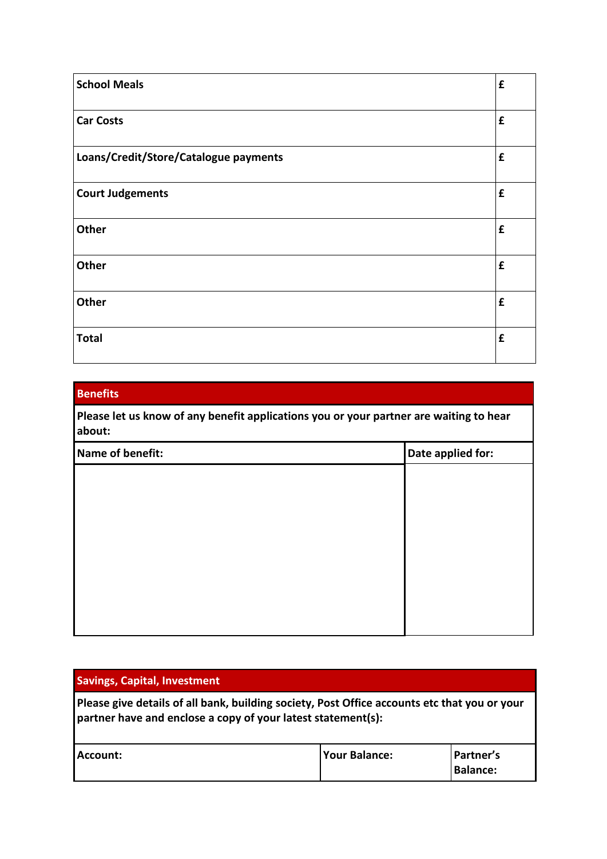| <b>School Meals</b>                   | £ |
|---------------------------------------|---|
| <b>Car Costs</b>                      | £ |
| Loans/Credit/Store/Catalogue payments | £ |
| <b>Court Judgements</b>               | £ |
| Other                                 | £ |
| <b>Other</b>                          | £ |
| Other                                 | £ |
| <b>Total</b>                          | £ |

# **Benefits Please let us know of any benefit applications you or your partner are waiting to hear about: Name of benefit: Date applied for: Date applied for:**

| <b>Savings, Capital, Investment</b>                                                                                                                          |                      |                              |
|--------------------------------------------------------------------------------------------------------------------------------------------------------------|----------------------|------------------------------|
| Please give details of all bank, building society, Post Office accounts etc that you or your<br>partner have and enclose a copy of your latest statement(s): |                      |                              |
| Account:                                                                                                                                                     | <b>Your Balance:</b> | Partner's<br><b>Balance:</b> |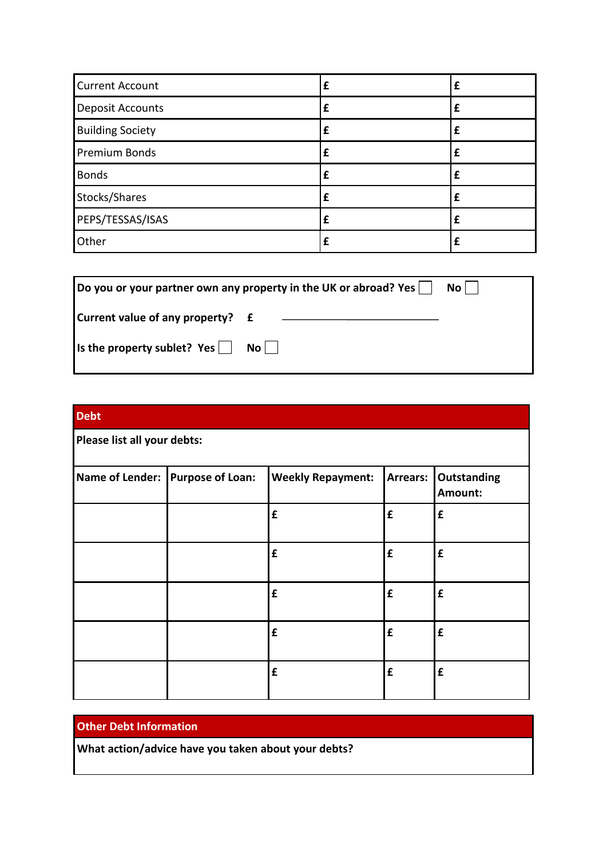| <b>Current Account</b>  | £ | £ |
|-------------------------|---|---|
| <b>Deposit Accounts</b> | £ | £ |
| <b>Building Society</b> | £ | f |
| <b>Premium Bonds</b>    | £ | £ |
| <b>Bonds</b>            | £ | f |
| Stocks/Shares           | £ | f |
| PEPS/TESSAS/ISAS        | £ |   |
| Other                   |   | £ |

| Do you or your partner own any property in the UK or abroad? Yes $\vert \ \vert$<br>$No$ |      |  |  |
|------------------------------------------------------------------------------------------|------|--|--|
| Current value of any property? £                                                         |      |  |  |
| $\vert$ is the property sublet? Yes $\vert$                                              | $No$ |  |  |

| <b>Debt</b>                 |                                  |                          |             |                               |
|-----------------------------|----------------------------------|--------------------------|-------------|-------------------------------|
| Please list all your debts: |                                  |                          |             |                               |
|                             | Name of Lender: Purpose of Loan: | <b>Weekly Repayment:</b> | Arrears:    | <b>Outstanding</b><br>Amount: |
|                             |                                  | £                        | $\mathbf f$ | $\mathbf f$                   |
|                             |                                  | £                        | £           | $\pmb{\mathsf{f}}$            |
|                             |                                  | £                        | £           | £                             |
|                             |                                  | £                        | £           | £                             |
|                             |                                  | £                        | £           | $\mathbf f$                   |

# **Other Debt Information**

**What action/advice have you taken about your debts?**